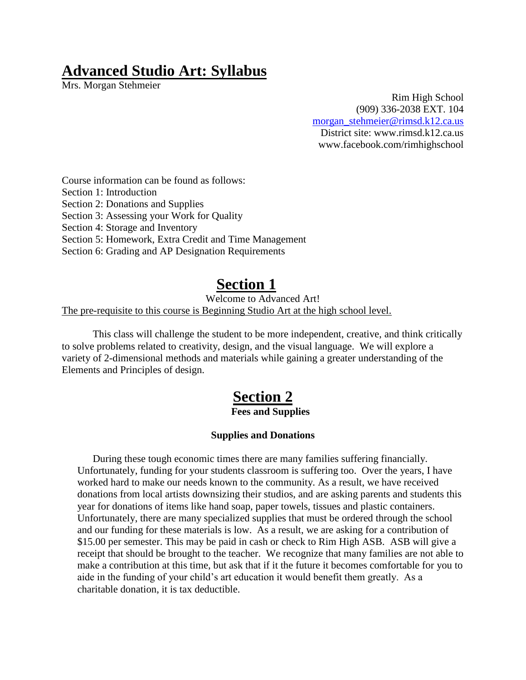# **Advanced Studio Art: Syllabus**

Mrs. Morgan Stehmeier

Rim High School (909) 336-2038 EXT. 104 [morgan\\_stehmeier@rimsd.k12.ca.us](mailto:morgan_stehmeier@rimsd.k12.ca.us) District site: www.rimsd.k12.ca.us www.facebook.com/rimhighschool

Course information can be found as follows:

Section 1: Introduction

Section 2: Donations and Supplies

Section 3: Assessing your Work for Quality

Section 4: Storage and Inventory

Section 5: Homework, Extra Credit and Time Management

Section 6: Grading and AP Designation Requirements

## **Section 1**

Welcome to Advanced Art!

The pre-requisite to this course is Beginning Studio Art at the high school level.

This class will challenge the student to be more independent, creative, and think critically to solve problems related to creativity, design, and the visual language. We will explore a variety of 2-dimensional methods and materials while gaining a greater understanding of the Elements and Principles of design.

## **Section 2**

#### **Fees and Supplies**

#### **Supplies and Donations**

During these tough economic times there are many families suffering financially. Unfortunately, funding for your students classroom is suffering too. Over the years, I have worked hard to make our needs known to the community. As a result, we have received donations from local artists downsizing their studios, and are asking parents and students this year for donations of items like hand soap, paper towels, tissues and plastic containers. Unfortunately, there are many specialized supplies that must be ordered through the school and our funding for these materials is low. As a result, we are asking for a contribution of \$15.00 per semester. This may be paid in cash or check to Rim High ASB. ASB will give a receipt that should be brought to the teacher. We recognize that many families are not able to make a contribution at this time, but ask that if it the future it becomes comfortable for you to aide in the funding of your child's art education it would benefit them greatly. As a charitable donation, it is tax deductible.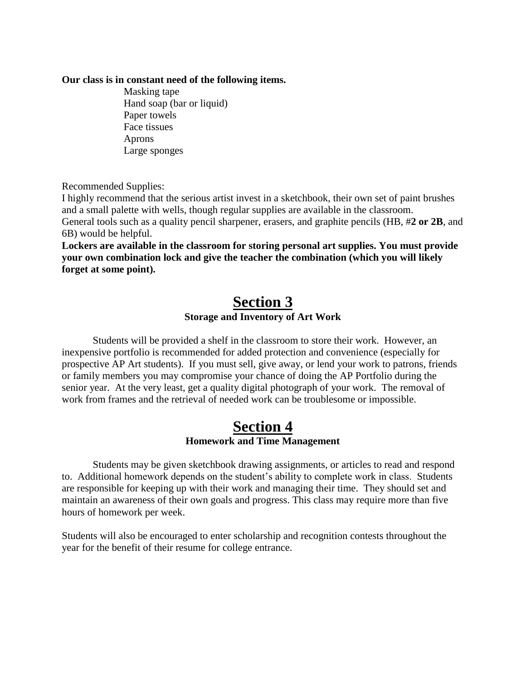#### **Our class is in constant need of the following items.**

Masking tape Hand soap (bar or liquid) Paper towels Face tissues Aprons Large sponges

Recommended Supplies:

I highly recommend that the serious artist invest in a sketchbook, their own set of paint brushes and a small palette with wells, though regular supplies are available in the classroom. General tools such as a quality pencil sharpener, erasers, and graphite pencils (HB, #**2 or 2B**, and 6B) would be helpful.

**Lockers are available in the classroom for storing personal art supplies. You must provide your own combination lock and give the teacher the combination (which you will likely forget at some point).**

### **Section 3 Storage and Inventory of Art Work**

Students will be provided a shelf in the classroom to store their work. However, an inexpensive portfolio is recommended for added protection and convenience (especially for prospective AP Art students). If you must sell, give away, or lend your work to patrons, friends or family members you may compromise your chance of doing the AP Portfolio during the senior year. At the very least, get a quality digital photograph of your work. The removal of work from frames and the retrieval of needed work can be troublesome or impossible.

### **Section 4 Homework and Time Management**

Students may be given sketchbook drawing assignments, or articles to read and respond to. Additional homework depends on the student's ability to complete work in class. Students are responsible for keeping up with their work and managing their time. They should set and maintain an awareness of their own goals and progress. This class may require more than five hours of homework per week.

Students will also be encouraged to enter scholarship and recognition contests throughout the year for the benefit of their resume for college entrance.